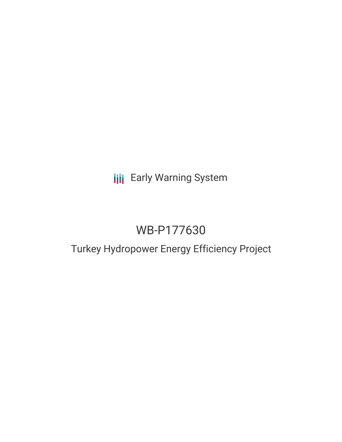# **III** Early Warning System

# WB-P177630

# Turkey Hydropower Energy Efficiency Project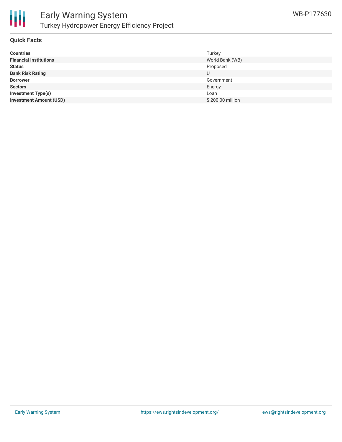

#### **Quick Facts**

| <b>Countries</b>               | Turkey           |
|--------------------------------|------------------|
| <b>Financial Institutions</b>  | World Bank (WB)  |
| <b>Status</b>                  | Proposed         |
| <b>Bank Risk Rating</b>        | U                |
| <b>Borrower</b>                | Government       |
| <b>Sectors</b>                 | Energy           |
| <b>Investment Type(s)</b>      | Loan             |
| <b>Investment Amount (USD)</b> | \$200.00 million |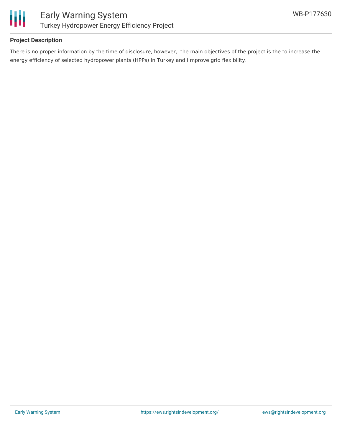

#### **Project Description**

There is no proper information by the time of disclosure, however, the main objectives of the project is the to increase the energy efficiency of selected hydropower plants (HPPs) in Turkey and i mprove grid flexibility.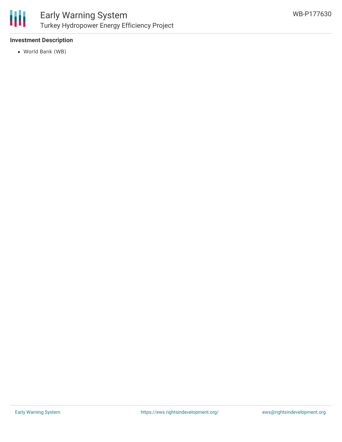

### **Investment Description**

World Bank (WB)